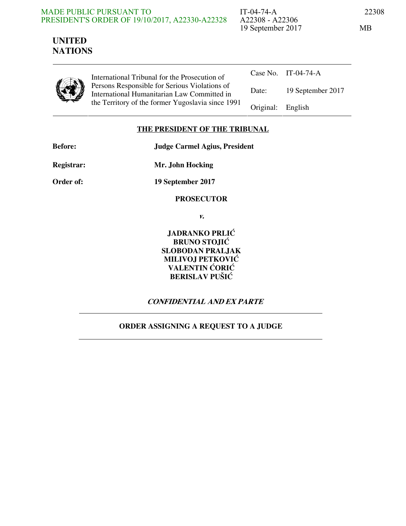#### MADE PUBLIC PURSUANT TO PRESIDENT'S ORDER OF 19/10/2017, A22330-A22328

IT-04-74-A 22308 A22308 - A22306 19 September 2017 MB

# **UNITED NATIONS**

|--|

International Tribunal for the Prosecution of Persons Responsible for Serious Violations of International Humanitarian Law Committed in the Territory of the former Yugoslavia since 1991

|                   | Case No. IT-04-74-A |
|-------------------|---------------------|
| Date:             | 19 September 2017   |
| Original: English |                     |

### **THE PRESIDENT OF THE TRIBUNAL**

**Before: Judge Carmel Agius, President** 

**Registrar: Mr. John Hocking** 

**Order of: 19 September 2017** 

### **PROSECUTOR**

**v.** 

**JADRANKO PRLIĆ BRUNO STOJIĆ SLOBODAN PRALJAK MILIVOJ PETKOVIĆ VALENTIN ĆORIĆ BERISLAV PUŠIĆ** 

# **CONFIDENTIAL AND EX PARTE**

# **ORDER ASSIGNING A REQUEST TO A JUDGE**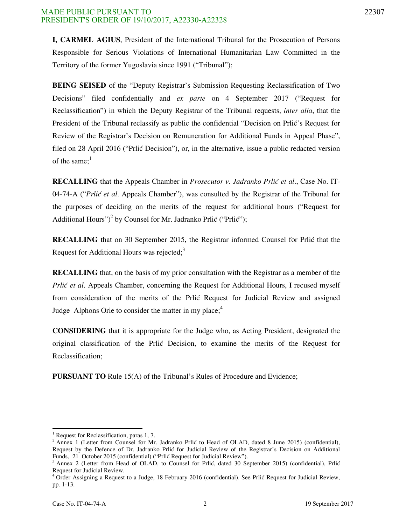**I, CARMEL AGIUS**, President of the International Tribunal for the Prosecution of Persons Responsible for Serious Violations of International Humanitarian Law Committed in the Territory of the former Yugoslavia since 1991 ("Tribunal");

**BEING SEISED** of the "Deputy Registrar's Submission Requesting Reclassification of Two Decisions" filed confidentially and *ex parte* on 4 September 2017 ("Request for Reclassification") in which the Deputy Registrar of the Tribunal requests, *inter alia*, that the President of the Tribunal reclassify as public the confidential "Decision on Prlic's Request for Review of the Registrar's Decision on Remuneration for Additional Funds in Appeal Phase", filed on 28 April 2016 ("Prlic Decision"), or, in the alternative, issue a public redacted version of the same; $<sup>1</sup>$ </sup>

**RECALLING** that the Appeals Chamber in *Prosecutor v. Jadranko Prlić et al.*, Case No. IT-04-74-A ("*Prlić et al.* Appeals Chamber"), was consulted by the Registrar of the Tribunal for the purposes of deciding on the merits of the request for additional hours ("Request for Additional Hours")<sup>2</sup> by Counsel for Mr. Jadranko Prlić ("Prlić");

**RECALLING** that on 30 September 2015, the Registrar informed Counsel for Prlic that the Request for Additional Hours was rejected; $3$ 

**RECALLING** that, on the basis of my prior consultation with the Registrar as a member of the *Prlić et al.* Appeals Chamber, concerning the Request for Additional Hours, I recused myself from consideration of the merits of the Prlic Request for Judicial Review and assigned Judge Alphons Orie to consider the matter in my place; $4$ 

**CONSIDERING** that it is appropriate for the Judge who, as Acting President, designated the original classification of the Prlić Decision, to examine the merits of the Request for Reclassification;

**PURSUANT TO** Rule 15(A) of the Tribunal's Rules of Procedure and Evidence;

-

<sup>&</sup>lt;sup>1</sup> Request for Reclassification, paras 1, 7.

<sup>&</sup>lt;sup>2</sup> Annex 1 (Letter from Counsel for Mr. Jadranko Prlić to Head of OLAD, dated 8 June 2015) (confidential), Request by the Defence of Dr. Jadranko Prlić for Judicial Review of the Registrar's Decision on Additional Funds, 21 October 2015 (confidential) ("Prlić Request for Judicial Review").

<sup>3</sup> Annex 2 (Letter from Head of OLAD, to Counsel for Prlić, dated 30 September 2015) (confidential), Prlić Request for Judicial Review.

<sup>&</sup>lt;sup>4</sup> Order Assigning a Request to a Judge, 18 February 2016 (confidential). See Prlić Request for Judicial Review, pp. 1-13.